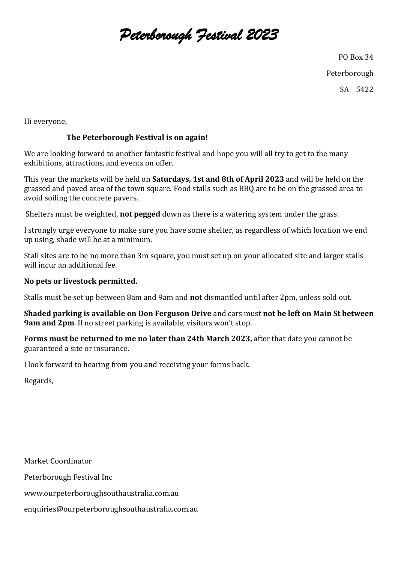## *Peterborough Festival 2023*

PO Box 34

Peterborough

SA 5422

Hi everyone,

## **The Peterborough Festival is on again!**

We are looking forward to another fantastic festival and hope you will all try to get to the many exhibitions, attractions, and events on offer.

This year the markets will be held on **Saturdays, 1st and 8th of April 2023** and will be held on the grassed and paved area of the town square. Food stalls such as BBQ are to be on the grassed area to avoid soiling the concrete pavers.

Shelters must be weighted, **not pegged** down as there is a watering system under the grass.

I strongly urge everyone to make sure you have some shelter, as regardless of which location we end up using, shade will be at a minimum.

Stall sites are to be no more than 3m square, you must set up on your allocated site and larger stalls will incur an additional fee.

### **No pets or livestock permitted.**

Stalls must be set up between 8am and 9am and **not** dismantled until after 2pm, unless sold out.

**Shaded parking is available on Don Ferguson Drive** and cars must **not be left on Main St between 9am and 2pm**. If no street parking is available, visitors won't stop.

**Forms must be returned to me no later than 24th March 2023,** after that date you cannot be guaranteed a site or insurance.

I look forward to hearing from you and receiving your forms back.

Regards,

Market Coordinator Peterborough Festival Inc www.ourpeterboroughsouthaustralia.com.au enquiries@ourpeterboroughsouthaustralia.com.au